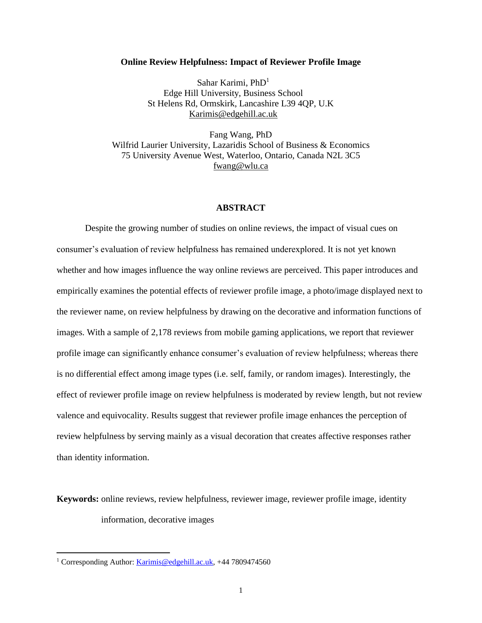#### **Online Review Helpfulness: Impact of Reviewer Profile Image**

Sahar Karimi, PhD<sup>1</sup> Edge Hill University, Business School St Helens Rd, Ormskirk, Lancashire L39 4QP, U.K [Karimis@edgehill.ac.uk](mailto:Karimis@edgehill.ac.uk)

Fang Wang, PhD [Wilfrid Laurier University, Lazaridis School of Business & Economics](https://www.wlu.ca/homepage.php?grp_id=666&f_id=31) 75 University Avenue West, Waterloo, Ontario, Canada N2L 3C5 [fwang@wlu.ca](mailto:fwang@wlu.ca)

# **ABSTRACT**

Despite the growing number of studies on online reviews, the impact of visual cues on consumer's evaluation of review helpfulness has remained underexplored. It is not yet known whether and how images influence the way online reviews are perceived. This paper introduces and empirically examines the potential effects of reviewer profile image, a photo/image displayed next to the reviewer name, on review helpfulness by drawing on the decorative and information functions of images. With a sample of 2,178 reviews from mobile gaming applications, we report that reviewer profile image can significantly enhance consumer's evaluation of review helpfulness; whereas there is no differential effect among image types (i.e. self, family, or random images). Interestingly, the effect of reviewer profile image on review helpfulness is moderated by review length, but not review valence and equivocality. Results suggest that reviewer profile image enhances the perception of review helpfulness by serving mainly as a visual decoration that creates affective responses rather than identity information.

**Keywords:** online reviews, review helpfulness, reviewer image, reviewer profile image, identity information, decorative images

 $\overline{a}$ 

<sup>&</sup>lt;sup>1</sup> Corresponding Author: [Karimis@edgehill.ac.uk,](mailto:Karimis@edgehill.ac.uk) +44 7809474560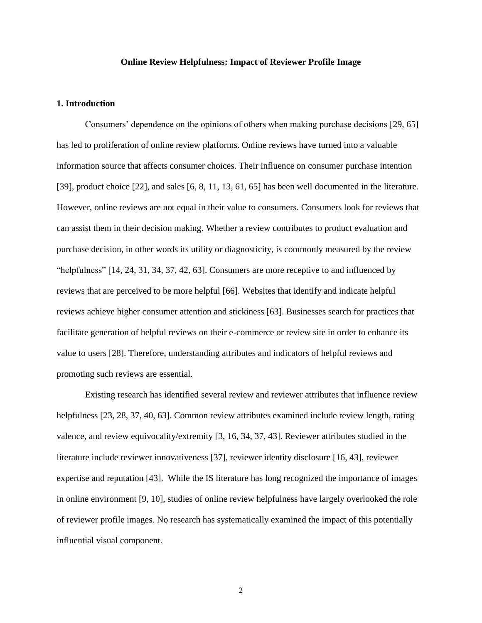#### **Online Review Helpfulness: Impact of Reviewer Profile Image**

# **1. Introduction**

Consumers' dependence on the opinions of others when making purchase decisions [29, 65] has led to proliferation of online review platforms. Online reviews have turned into a valuable information source that affects consumer choices. Their influence on consumer purchase intention [39], product choice [22], and sales [6, 8, 11, 13, 61, 65] has been well documented in the literature. However, online reviews are not equal in their value to consumers. Consumers look for reviews that can assist them in their decision making. Whether a review contributes to product evaluation and purchase decision, in other words its utility or diagnosticity, is commonly measured by the review "helpfulness" [14, 24, 31, 34, 37, 42, 63]. Consumers are more receptive to and influenced by reviews that are perceived to be more helpful [66]. Websites that identify and indicate helpful reviews achieve higher consumer attention and stickiness [63]. Businesses search for practices that facilitate generation of helpful reviews on their e-commerce or review site in order to enhance its value to users [28]. Therefore, understanding attributes and indicators of helpful reviews and promoting such reviews are essential.

Existing research has identified several review and reviewer attributes that influence review helpfulness [23, 28, 37, 40, 63]. Common review attributes examined include review length, rating valence, and review equivocality/extremity [3, 16, 34, 37, 43]. Reviewer attributes studied in the literature include reviewer innovativeness [37], reviewer identity disclosure [16, 43], reviewer expertise and reputation [43]. While the IS literature has long recognized the importance of images in online environment [9, 10], studies of online review helpfulness have largely overlooked the role of reviewer profile images. No research has systematically examined the impact of this potentially influential visual component.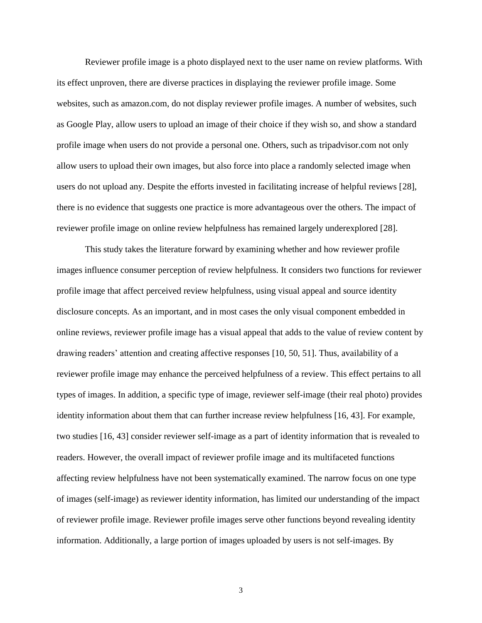Reviewer profile image is a photo displayed next to the user name on review platforms. With its effect unproven, there are diverse practices in displaying the reviewer profile image. Some websites, such as amazon.com, do not display reviewer profile images. A number of websites, such as Google Play, allow users to upload an image of their choice if they wish so, and show a standard profile image when users do not provide a personal one. Others, such as tripadvisor.com not only allow users to upload their own images, but also force into place a randomly selected image when users do not upload any. Despite the efforts invested in facilitating increase of helpful reviews [28], there is no evidence that suggests one practice is more advantageous over the others. The impact of reviewer profile image on online review helpfulness has remained largely underexplored [28].

This study takes the literature forward by examining whether and how reviewer profile images influence consumer perception of review helpfulness. It considers two functions for reviewer profile image that affect perceived review helpfulness, using visual appeal and source identity disclosure concepts. As an important, and in most cases the only visual component embedded in online reviews, reviewer profile image has a visual appeal that adds to the value of review content by drawing readers' attention and creating affective responses [10, 50, 51]. Thus, availability of a reviewer profile image may enhance the perceived helpfulness of a review. This effect pertains to all types of images. In addition, a specific type of image, reviewer self-image (their real photo) provides identity information about them that can further increase review helpfulness [16, 43]. For example, two studies [16, 43] consider reviewer self-image as a part of identity information that is revealed to readers. However, the overall impact of reviewer profile image and its multifaceted functions affecting review helpfulness have not been systematically examined. The narrow focus on one type of images (self-image) as reviewer identity information, has limited our understanding of the impact of reviewer profile image. Reviewer profile images serve other functions beyond revealing identity information. Additionally, a large portion of images uploaded by users is not self-images. By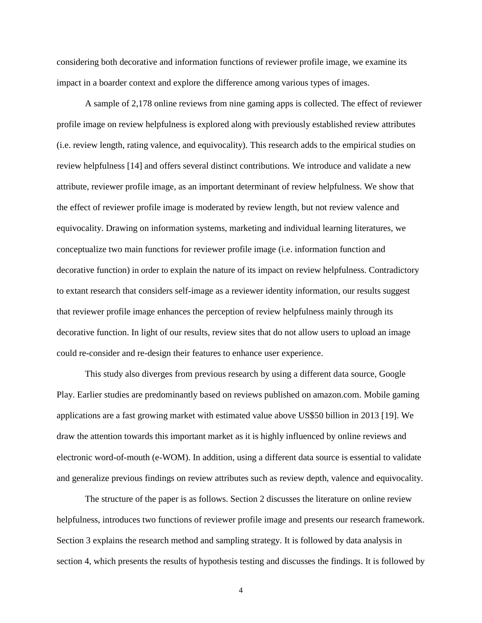considering both decorative and information functions of reviewer profile image, we examine its impact in a boarder context and explore the difference among various types of images.

A sample of 2,178 online reviews from nine gaming apps is collected. The effect of reviewer profile image on review helpfulness is explored along with previously established review attributes (i.e. review length, rating valence, and equivocality). This research adds to the empirical studies on review helpfulness [14] and offers several distinct contributions. We introduce and validate a new attribute, reviewer profile image, as an important determinant of review helpfulness. We show that the effect of reviewer profile image is moderated by review length, but not review valence and equivocality. Drawing on information systems, marketing and individual learning literatures, we conceptualize two main functions for reviewer profile image (i.e. information function and decorative function) in order to explain the nature of its impact on review helpfulness. Contradictory to extant research that considers self-image as a reviewer identity information, our results suggest that reviewer profile image enhances the perception of review helpfulness mainly through its decorative function. In light of our results, review sites that do not allow users to upload an image could re-consider and re-design their features to enhance user experience.

This study also diverges from previous research by using a different data source, Google Play. Earlier studies are predominantly based on reviews published on amazon.com. Mobile gaming applications are a fast growing market with estimated value above US\$50 billion in 2013 [19]. We draw the attention towards this important market as it is highly influenced by online reviews and electronic word-of-mouth (e-WOM). In addition, using a different data source is essential to validate and generalize previous findings on review attributes such as review depth, valence and equivocality.

The structure of the paper is as follows. Section 2 discusses the literature on online review helpfulness, introduces two functions of reviewer profile image and presents our research framework. Section 3 explains the research method and sampling strategy. It is followed by data analysis in section 4, which presents the results of hypothesis testing and discusses the findings. It is followed by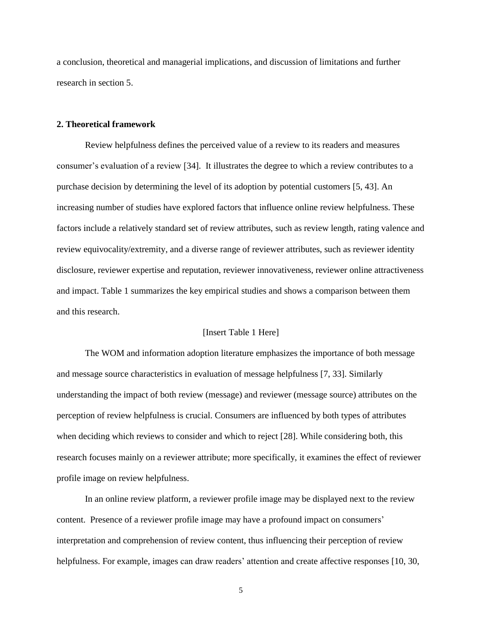a conclusion, theoretical and managerial implications, and discussion of limitations and further research in section 5.

#### **2. Theoretical framework**

Review helpfulness defines the perceived value of a review to its readers and measures consumer's evaluation of a review [34]. It illustrates the degree to which a review contributes to a purchase decision by determining the level of its adoption by potential customers [5, 43]. An increasing number of studies have explored factors that influence online review helpfulness. These factors include a relatively standard set of review attributes, such as review length, rating valence and review equivocality/extremity, and a diverse range of reviewer attributes, such as reviewer identity disclosure, reviewer expertise and reputation, reviewer innovativeness, reviewer online attractiveness and impact. Table 1 summarizes the key empirical studies and shows a comparison between them and this research.

#### [Insert Table 1 Here]

The WOM and information adoption literature emphasizes the importance of both message and message source characteristics in evaluation of message helpfulness [7, 33]. Similarly understanding the impact of both review (message) and reviewer (message source) attributes on the perception of review helpfulness is crucial. Consumers are influenced by both types of attributes when deciding which reviews to consider and which to reject [28]. While considering both, this research focuses mainly on a reviewer attribute; more specifically, it examines the effect of reviewer profile image on review helpfulness.

In an online review platform, a reviewer profile image may be displayed next to the review content. Presence of a reviewer profile image may have a profound impact on consumers' interpretation and comprehension of review content, thus influencing their perception of review helpfulness. For example, images can draw readers' attention and create affective responses [10, 30,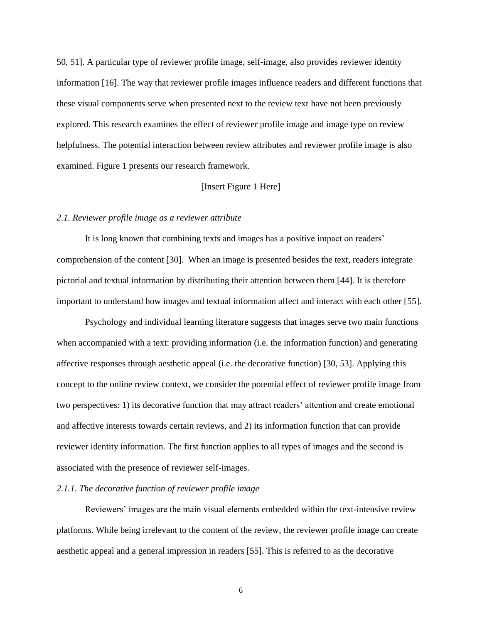50, 51]. A particular type of reviewer profile image, self-image, also provides reviewer identity information [16]. The way that reviewer profile images influence readers and different functions that these visual components serve when presented next to the review text have not been previously explored. This research examines the effect of reviewer profile image and image type on review helpfulness. The potential interaction between review attributes and reviewer profile image is also examined. Figure 1 presents our research framework.

## [Insert Figure 1 Here]

#### *2.1. Reviewer profile image as a reviewer attribute*

It is long known that combining texts and images has a positive impact on readers' comprehension of the content [30]. When an image is presented besides the text, readers integrate pictorial and textual information by distributing their attention between them [44]. It is therefore important to understand how images and textual information affect and interact with each other [55].

Psychology and individual learning literature suggests that images serve two main functions when accompanied with a text: providing information (i.e. the information function) and generating affective responses through aesthetic appeal (i.e. the decorative function) [30, 53]. Applying this concept to the online review context, we consider the potential effect of reviewer profile image from two perspectives: 1) its decorative function that may attract readers' attention and create emotional and affective interests towards certain reviews, and 2) its information function that can provide reviewer identity information. The first function applies to all types of images and the second is associated with the presence of reviewer self-images.

# *2.1.1. The decorative function of reviewer profile image*

Reviewers' images are the main visual elements embedded within the text-intensive review platforms. While being irrelevant to the content of the review, the reviewer profile image can create aesthetic appeal and a general impression in readers [55]. This is referred to as the decorative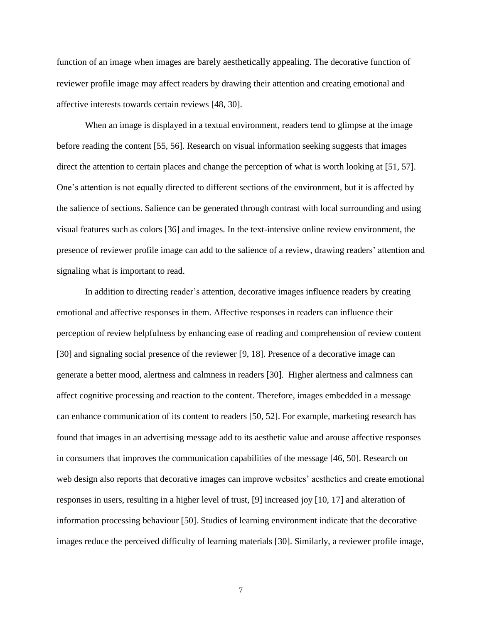function of an image when images are barely aesthetically appealing. The decorative function of reviewer profile image may affect readers by drawing their attention and creating emotional and affective interests towards certain reviews [48, 30].

When an image is displayed in a textual environment, readers tend to glimpse at the image before reading the content [55, 56]. Research on visual information seeking suggests that images direct the attention to certain places and change the perception of what is worth looking at [51, 57]. One's attention is not equally directed to different sections of the environment, but it is affected by the salience of sections. Salience can be generated through contrast with local surrounding and using visual features such as colors [36] and images. In the text-intensive online review environment, the presence of reviewer profile image can add to the salience of a review, drawing readers' attention and signaling what is important to read.

In addition to directing reader's attention, decorative images influence readers by creating emotional and affective responses in them. Affective responses in readers can influence their perception of review helpfulness by enhancing ease of reading and comprehension of review content [30] and signaling social presence of the reviewer [9, 18]. Presence of a decorative image can generate a better mood, alertness and calmness in readers [30]. Higher alertness and calmness can affect cognitive processing and reaction to the content. Therefore, images embedded in a message can enhance communication of its content to readers [50, 52]. For example, marketing research has found that images in an advertising message add to its aesthetic value and arouse affective responses in consumers that improves the communication capabilities of the message [46, 50]. Research on web design also reports that decorative images can improve websites' aesthetics and create emotional responses in users, resulting in a higher level of trust, [9] increased joy [10, 17] and alteration of information processing behaviour [50]. Studies of learning environment indicate that the decorative images reduce the perceived difficulty of learning materials [30]. Similarly, a reviewer profile image,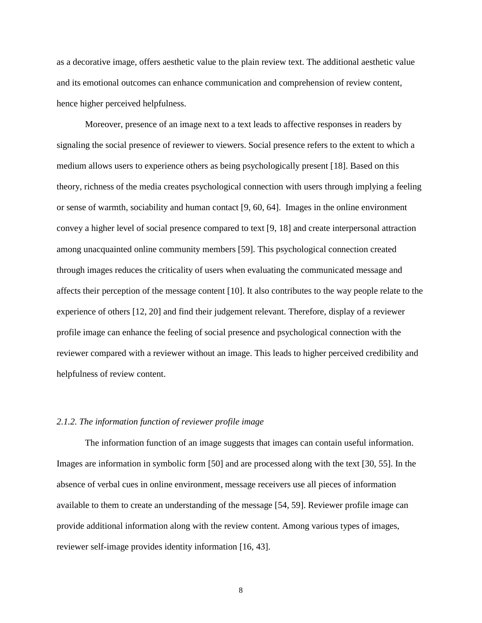as a decorative image, offers aesthetic value to the plain review text. The additional aesthetic value and its emotional outcomes can enhance communication and comprehension of review content, hence higher perceived helpfulness.

Moreover, presence of an image next to a text leads to affective responses in readers by signaling the social presence of reviewer to viewers. Social presence refers to the extent to which a medium allows users to experience others as being psychologically present [18]. Based on this theory, richness of the media creates psychological connection with users through implying a feeling or sense of warmth, sociability and human contact [9, 60, 64]. Images in the online environment convey a higher level of social presence compared to text [9, 18] and create interpersonal attraction among unacquainted online community members [59]. This psychological connection created through images reduces the criticality of users when evaluating the communicated message and affects their perception of the message content [10]. It also contributes to the way people relate to the experience of others [12, 20] and find their judgement relevant. Therefore, display of a reviewer profile image can enhance the feeling of social presence and psychological connection with the reviewer compared with a reviewer without an image. This leads to higher perceived credibility and helpfulness of review content.

# *2.1.2. The information function of reviewer profile image*

The information function of an image suggests that images can contain useful information. Images are information in symbolic form [50] and are processed along with the text [30, 55]. In the absence of verbal cues in online environment, message receivers use all pieces of information available to them to create an understanding of the message [54, 59]. Reviewer profile image can provide additional information along with the review content. Among various types of images, reviewer self-image provides identity information [16, 43].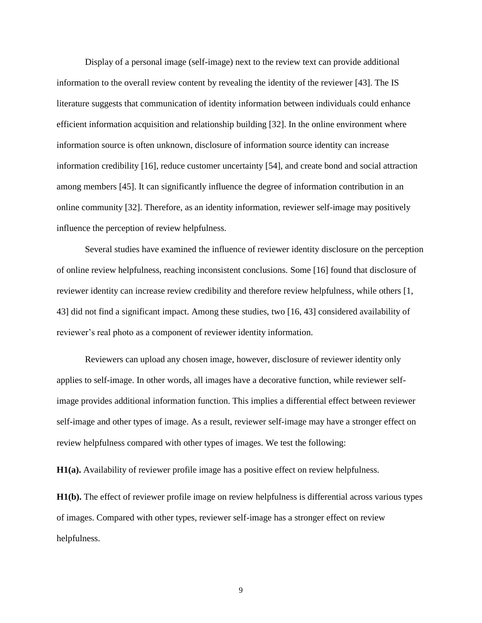Display of a personal image (self-image) next to the review text can provide additional information to the overall review content by revealing the identity of the reviewer [43]. The IS literature suggests that communication of identity information between individuals could enhance efficient information acquisition and relationship building [32]. In the online environment where information source is often unknown, disclosure of information source identity can increase information credibility [16], reduce customer uncertainty [54], and create bond and social attraction among members [45]. It can significantly influence the degree of information contribution in an online community [32]. Therefore, as an identity information, reviewer self-image may positively influence the perception of review helpfulness.

Several studies have examined the influence of reviewer identity disclosure on the perception of online review helpfulness, reaching inconsistent conclusions. Some [16] found that disclosure of reviewer identity can increase review credibility and therefore review helpfulness, while others [1, 43] did not find a significant impact. Among these studies, two [16, 43] considered availability of reviewer's real photo as a component of reviewer identity information.

Reviewers can upload any chosen image, however, disclosure of reviewer identity only applies to self-image. In other words, all images have a decorative function, while reviewer selfimage provides additional information function. This implies a differential effect between reviewer self-image and other types of image. As a result, reviewer self-image may have a stronger effect on review helpfulness compared with other types of images. We test the following:

**H1(a).** Availability of reviewer profile image has a positive effect on review helpfulness.

**H1(b).** The effect of reviewer profile image on review helpfulness is differential across various types of images. Compared with other types, reviewer self-image has a stronger effect on review helpfulness.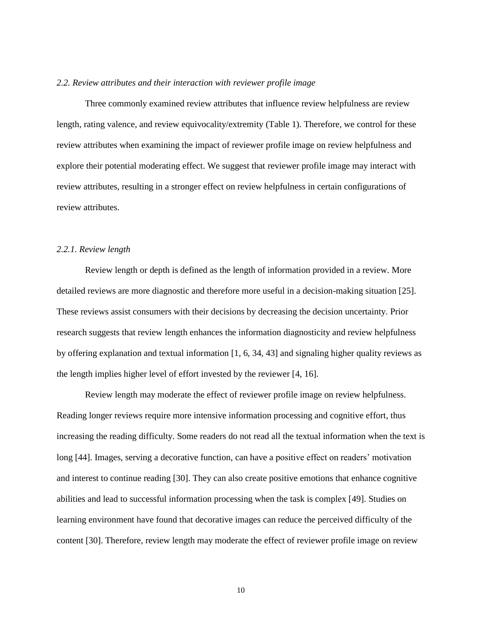#### *2.2. Review attributes and their interaction with reviewer profile image*

Three commonly examined review attributes that influence review helpfulness are review length, rating valence, and review equivocality/extremity (Table 1). Therefore, we control for these review attributes when examining the impact of reviewer profile image on review helpfulness and explore their potential moderating effect. We suggest that reviewer profile image may interact with review attributes, resulting in a stronger effect on review helpfulness in certain configurations of review attributes.

#### *2.2.1. Review length*

Review length or depth is defined as the length of information provided in a review. More detailed reviews are more diagnostic and therefore more useful in a decision-making situation [25]. These reviews assist consumers with their decisions by decreasing the decision uncertainty. Prior research suggests that review length enhances the information diagnosticity and review helpfulness by offering explanation and textual information [1, 6, 34, 43] and signaling higher quality reviews as the length implies higher level of effort invested by the reviewer [4, 16].

Review length may moderate the effect of reviewer profile image on review helpfulness. Reading longer reviews require more intensive information processing and cognitive effort, thus increasing the reading difficulty. Some readers do not read all the textual information when the text is long [44]. Images, serving a decorative function, can have a positive effect on readers' motivation and interest to continue reading [30]. They can also create positive emotions that enhance cognitive abilities and lead to successful information processing when the task is complex [49]. Studies on learning environment have found that decorative images can reduce the perceived difficulty of the content [30]. Therefore, review length may moderate the effect of reviewer profile image on review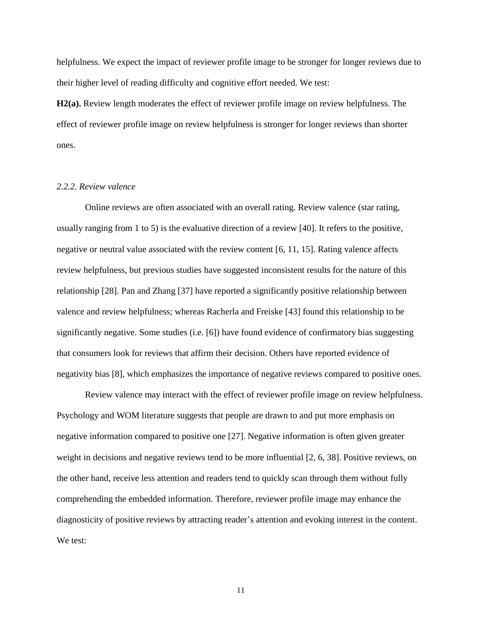helpfulness. We expect the impact of reviewer profile image to be stronger for longer reviews due to their higher level of reading difficulty and cognitive effort needed. We test:

**H2(a).** Review length moderates the effect of reviewer profile image on review helpfulness. The effect of reviewer profile image on review helpfulness is stronger for longer reviews than shorter ones.

# *2.2.2. Review valence*

Online reviews are often associated with an overall rating. Review valence (star rating, usually ranging from 1 to 5) is the evaluative direction of a review [40]. It refers to the positive, negative or neutral value associated with the review content [6, 11, 15]. Rating valence affects review helpfulness, but previous studies have suggested inconsistent results for the nature of this relationship [28]. Pan and Zhang [37] have reported a significantly positive relationship between valence and review helpfulness; whereas Racherla and Freiske [43] found this relationship to be significantly negative. Some studies (i.e. [6]) have found evidence of confirmatory bias suggesting that consumers look for reviews that affirm their decision. Others have reported evidence of negativity bias [8], which emphasizes the importance of negative reviews compared to positive ones.

Review valence may interact with the effect of reviewer profile image on review helpfulness. Psychology and WOM literature suggests that people are drawn to and put more emphasis on negative information compared to positive one [27]. Negative information is often given greater weight in decisions and negative reviews tend to be more influential [2, 6, 38]. Positive reviews, on the other hand, receive less attention and readers tend to quickly scan through them without fully comprehending the embedded information. Therefore, reviewer profile image may enhance the diagnosticity of positive reviews by attracting reader's attention and evoking interest in the content. We test: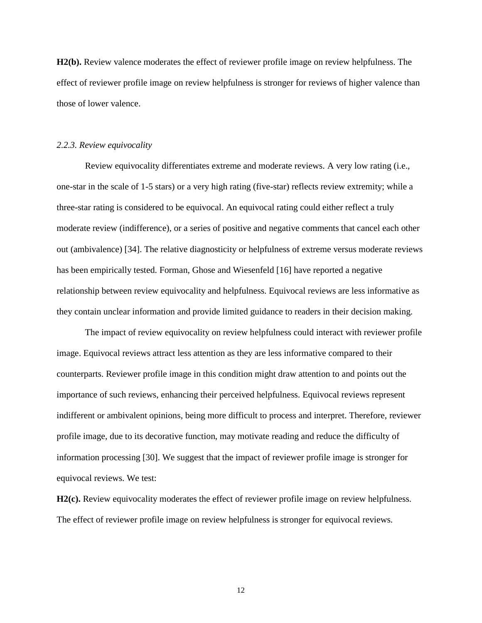**H2(b).** Review valence moderates the effect of reviewer profile image on review helpfulness. The effect of reviewer profile image on review helpfulness is stronger for reviews of higher valence than those of lower valence.

#### *2.2.3. Review equivocality*

Review equivocality differentiates extreme and moderate reviews. A very low rating (i.e., one-star in the scale of 1-5 stars) or a very high rating (five-star) reflects review extremity; while a three-star rating is considered to be equivocal. An equivocal rating could either reflect a truly moderate review (indifference), or a series of positive and negative comments that cancel each other out (ambivalence) [34]. The relative diagnosticity or helpfulness of extreme versus moderate reviews has been empirically tested. Forman, Ghose and Wiesenfeld [16] have reported a negative relationship between review equivocality and helpfulness. Equivocal reviews are less informative as they contain unclear information and provide limited guidance to readers in their decision making.

The impact of review equivocality on review helpfulness could interact with reviewer profile image. Equivocal reviews attract less attention as they are less informative compared to their counterparts. Reviewer profile image in this condition might draw attention to and points out the importance of such reviews, enhancing their perceived helpfulness. Equivocal reviews represent indifferent or ambivalent opinions, being more difficult to process and interpret. Therefore, reviewer profile image, due to its decorative function, may motivate reading and reduce the difficulty of information processing [30]. We suggest that the impact of reviewer profile image is stronger for equivocal reviews. We test:

**H2(c).** Review equivocality moderates the effect of reviewer profile image on review helpfulness. The effect of reviewer profile image on review helpfulness is stronger for equivocal reviews.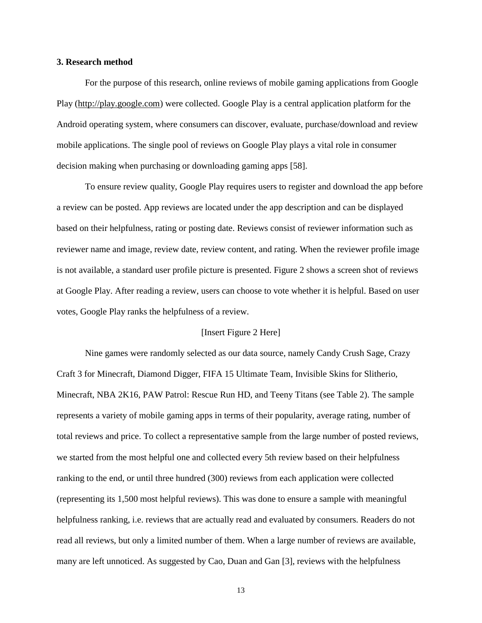## **3. Research method**

For the purpose of this research, online reviews of mobile gaming applications from Google Play [\(http://play.google.com\)](http://play.google.com/) were collected. Google Play is a central application platform for the Android operating system, where consumers can discover, evaluate, purchase/download and review mobile applications. The single pool of reviews on Google Play plays a vital role in consumer decision making when purchasing or downloading gaming apps [58].

To ensure review quality, Google Play requires users to register and download the app before a review can be posted. App reviews are located under the app description and can be displayed based on their helpfulness, rating or posting date. Reviews consist of reviewer information such as reviewer name and image, review date, review content, and rating. When the reviewer profile image is not available, a standard user profile picture is presented. Figure 2 shows a screen shot of reviews at Google Play. After reading a review, users can choose to vote whether it is helpful. Based on user votes, Google Play ranks the helpfulness of a review.

#### [Insert Figure 2 Here]

Nine games were randomly selected as our data source, namely Candy Crush Sage, Crazy Craft 3 for Minecraft, Diamond Digger, FIFA 15 Ultimate Team, Invisible Skins for Slitherio, Minecraft, NBA 2K16, PAW Patrol: Rescue Run HD, and Teeny Titans (see Table 2). The sample represents a variety of mobile gaming apps in terms of their popularity, average rating, number of total reviews and price. To collect a representative sample from the large number of posted reviews, we started from the most helpful one and collected every 5th review based on their helpfulness ranking to the end, or until three hundred (300) reviews from each application were collected (representing its 1,500 most helpful reviews). This was done to ensure a sample with meaningful helpfulness ranking, i.e. reviews that are actually read and evaluated by consumers. Readers do not read all reviews, but only a limited number of them. When a large number of reviews are available, many are left unnoticed. As suggested by Cao, Duan and Gan [3], reviews with the helpfulness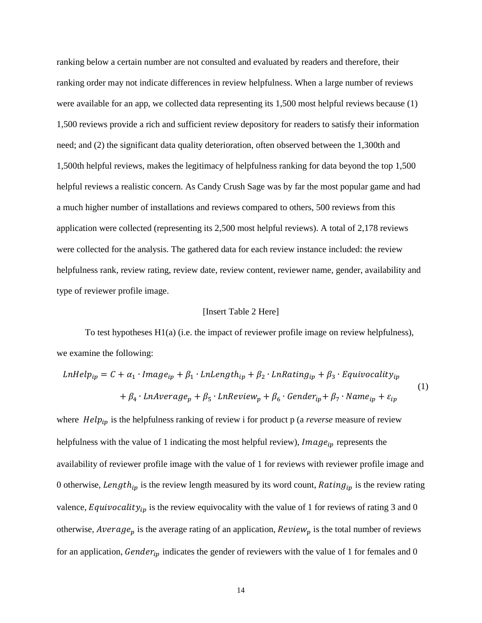ranking below a certain number are not consulted and evaluated by readers and therefore, their ranking order may not indicate differences in review helpfulness. When a large number of reviews were available for an app, we collected data representing its 1,500 most helpful reviews because (1) 1,500 reviews provide a rich and sufficient review depository for readers to satisfy their information need; and (2) the significant data quality deterioration, often observed between the 1,300th and 1,500th helpful reviews, makes the legitimacy of helpfulness ranking for data beyond the top 1,500 helpful reviews a realistic concern. As Candy Crush Sage was by far the most popular game and had a much higher number of installations and reviews compared to others, 500 reviews from this application were collected (representing its 2,500 most helpful reviews). A total of 2,178 reviews were collected for the analysis. The gathered data for each review instance included: the review helpfulness rank, review rating, review date, review content, reviewer name, gender, availability and type of reviewer profile image.

# [Insert Table 2 Here]

To test hypotheses H1(a) (i.e. the impact of reviewer profile image on review helpfulness), we examine the following:

$$
LnHelp_{ip} = C + \alpha_1 \cdot Image_{ip} + \beta_1 \cdot LnLength_{ip} + \beta_2 \cdot LnRating_{ip} + \beta_3 \cdot Equivocality_{ip}
$$
  
+  $\beta_4 \cdot LnAverage_p + \beta_5 \cdot LnReview_p + \beta_6 \cdot Gender_{ip} + \beta_7 \cdot Name_{ip} + \varepsilon_{ip}$  (1)

where  $Help_{ip}$  is the helpfulness ranking of review i for product p (a *reverse* measure of review helpfulness with the value of 1 indicating the most helpful review),  $Image_{ip}$  represents the availability of reviewer profile image with the value of 1 for reviews with reviewer profile image and 0 otherwise, Length<sub>ip</sub> is the review length measured by its word count, Rating<sub>ip</sub> is the review rating valence, Equivocality<sub>ip</sub> is the review equivocality with the value of 1 for reviews of rating 3 and 0 otherwise, *Average*<sub>p</sub> is the average rating of an application,  $Review_p$  is the total number of reviews for an application,  $\text{Gender}_{ip}$  indicates the gender of reviewers with the value of 1 for females and 0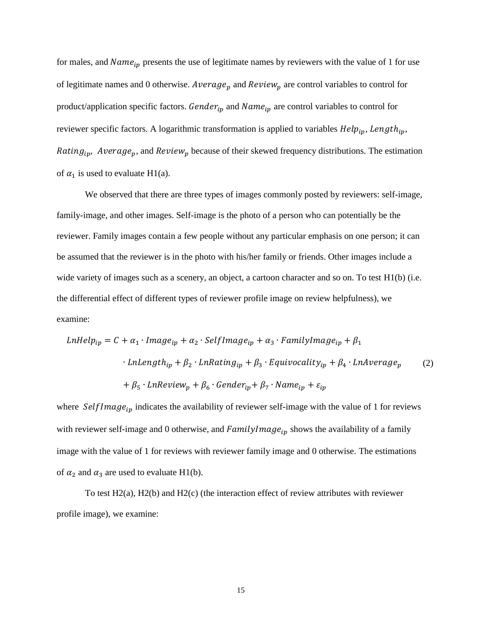for males, and  $Name_{ip}$  presents the use of legitimate names by reviewers with the value of 1 for use of legitimate names and 0 otherwise. Average<sub>p</sub> and Review<sub>p</sub> are control variables to control for product/application specific factors.  $Gender_{ip}$  and  $Name_{ip}$  are control variables to control for reviewer specific factors. A logarithmic transformation is applied to variables  $Help_{ip}$ , Length<sub>ip</sub>, *Rating<sub>in</sub>*, *Average<sub>n</sub>*, and *Review*<sub>n</sub> because of their skewed frequency distributions. The estimation of  $\alpha_1$  is used to evaluate H1(a).

We observed that there are three types of images commonly posted by reviewers: self-image, family-image, and other images. Self-image is the photo of a person who can potentially be the reviewer. Family images contain a few people without any particular emphasis on one person; it can be assumed that the reviewer is in the photo with his/her family or friends. Other images include a wide variety of images such as a scenery, an object, a cartoon character and so on. To test H1(b) (i.e. the differential effect of different types of reviewer profile image on review helpfulness), we examine:

$$
LnHelp_{ip} = C + \alpha_1 \cdot Image_{ip} + \alpha_2 \cdot SelfImage_{ip} + \alpha_3 \cdot FamilyImage_{ip} + \beta_1
$$
  
.  
.  
.  

$$
LnLength_{ip} + \beta_2 \cdot LnRating_{ip} + \beta_3 \cdot Equivocality_{ip} + \beta_4 \cdot LnAverage_p
$$
  
.  

$$
+ \beta_5 \cdot LnReview_p + \beta_6 \cdot Gender_{ip} + \beta_7 \cdot Name_{ip} + \varepsilon_{ip}
$$

where  $SelfImage_{ip}$  indicates the availability of reviewer self-image with the value of 1 for reviews with reviewer self-image and 0 otherwise, and  $FamilyImage_{ip}$  shows the availability of a family image with the value of 1 for reviews with reviewer family image and 0 otherwise. The estimations of  $\alpha_2$  and  $\alpha_3$  are used to evaluate H1(b).

To test H2(a), H2(b) and H2(c) (the interaction effect of review attributes with reviewer profile image), we examine: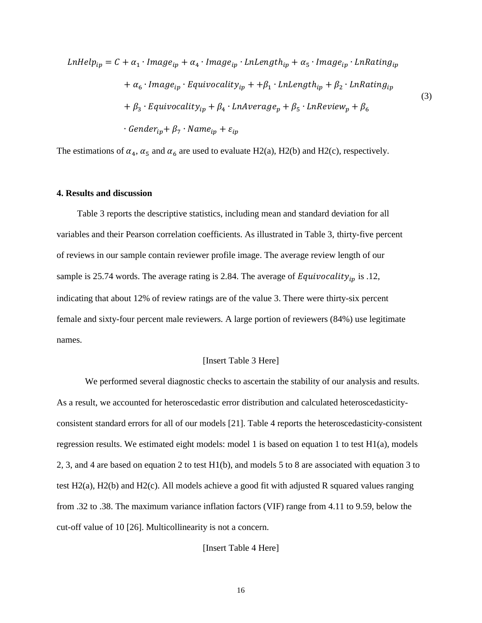$$
LnHelp_{ip} = C + \alpha_1 \cdot Image_{ip} + \alpha_4 \cdot Image_{ip} \cdot LnLength_{ip} + \alpha_5 \cdot Image_{ip} \cdot LnRating_{ip}
$$
  
+  $\alpha_6 \cdot Image_{ip} \cdot Equivocality_{ip} + +\beta_1 \cdot LnLength_{ip} + \beta_2 \cdot LnRating_{ip}$   
+  $\beta_3 \cdot Equivocality_{ip} + \beta_4 \cdot LnAverage_p + \beta_5 \cdot LnReview_p + \beta_6$   
 $\cdot Gender_{ip} + \beta_7 \cdot Name_{ip} + \varepsilon_{ip}$  (3)

The estimations of  $\alpha_4$ ,  $\alpha_5$  and  $\alpha_6$  are used to evaluate H2(a), H2(b) and H2(c), respectively.

#### **4. Results and discussion**

 Table 3 reports the descriptive statistics, including mean and standard deviation for all variables and their Pearson correlation coefficients. As illustrated in Table 3, thirty-five percent of reviews in our sample contain reviewer profile image. The average review length of our sample is 25.74 words. The average rating is 2.84. The average of  $Equivocality_{ip}$  is .12, indicating that about 12% of review ratings are of the value 3. There were thirty-six percent female and sixty-four percent male reviewers. A large portion of reviewers (84%) use legitimate names.

#### [Insert Table 3 Here]

We performed several diagnostic checks to ascertain the stability of our analysis and results. As a result, we accounted for heteroscedastic error distribution and calculated heteroscedasticityconsistent standard errors for all of our models [21]. Table 4 reports the heteroscedasticity-consistent regression results. We estimated eight models: model 1 is based on equation 1 to test H1(a), models 2, 3, and 4 are based on equation 2 to test H1(b), and models 5 to 8 are associated with equation 3 to test H2(a), H2(b) and H2(c). All models achieve a good fit with adjusted R squared values ranging from .32 to .38. The maximum variance inflation factors (VIF) range from 4.11 to 9.59, below the cut-off value of 10 [26]. Multicollinearity is not a concern.

[Insert Table 4 Here]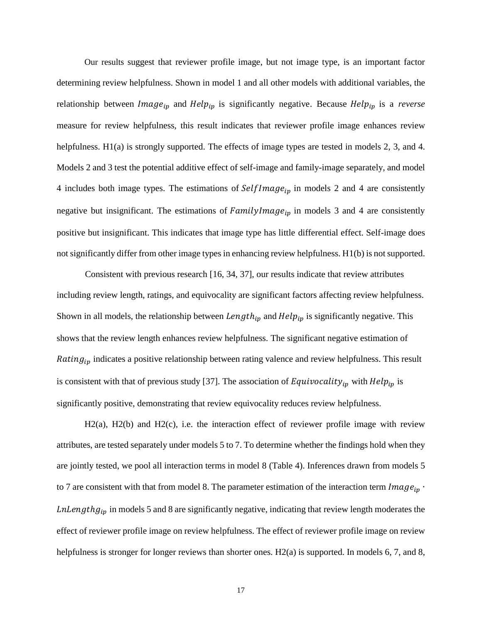Our results suggest that reviewer profile image, but not image type, is an important factor determining review helpfulness. Shown in model 1 and all other models with additional variables, the relationship between  $Image_{ip}$  and  $Help_{ip}$  is significantly negative. Because  $Help_{ip}$  is a *reverse* measure for review helpfulness, this result indicates that reviewer profile image enhances review helpfulness. H1(a) is strongly supported. The effects of image types are tested in models 2, 3, and 4. Models 2 and 3 test the potential additive effect of self-image and family-image separately, and model 4 includes both image types. The estimations of  $SelfImage_{ip}$  in models 2 and 4 are consistently negative but insignificant. The estimations of  $FamilyImage_{ip}$  in models 3 and 4 are consistently positive but insignificant. This indicates that image type has little differential effect. Self-image does not significantly differ from other image types in enhancing review helpfulness. H1(b) is not supported.

Consistent with previous research [16, 34, 37], our results indicate that review attributes including review length, ratings, and equivocality are significant factors affecting review helpfulness. Shown in all models, the relationship between  $Length_{ip}$  and  $Help_{ip}$  is significantly negative. This shows that the review length enhances review helpfulness. The significant negative estimation of Rating<sub>ip</sub> indicates a positive relationship between rating valence and review helpfulness. This result is consistent with that of previous study [37]. The association of Equivocality<sub>ip</sub> with  $Help_{ip}$  is significantly positive, demonstrating that review equivocality reduces review helpfulness.

H2(a), H2(b) and H2(c), i.e. the interaction effect of reviewer profile image with review attributes, are tested separately under models 5 to 7. To determine whether the findings hold when they are jointly tested, we pool all interaction terms in model 8 (Table 4). Inferences drawn from models 5 to 7 are consistent with that from model 8. The parameter estimation of the interaction term  $Image_{ip}$ . *LnLengthg<sub>ip</sub>* in models 5 and 8 are significantly negative, indicating that review length moderates the effect of reviewer profile image on review helpfulness. The effect of reviewer profile image on review helpfulness is stronger for longer reviews than shorter ones. H2(a) is supported. In models 6, 7, and 8,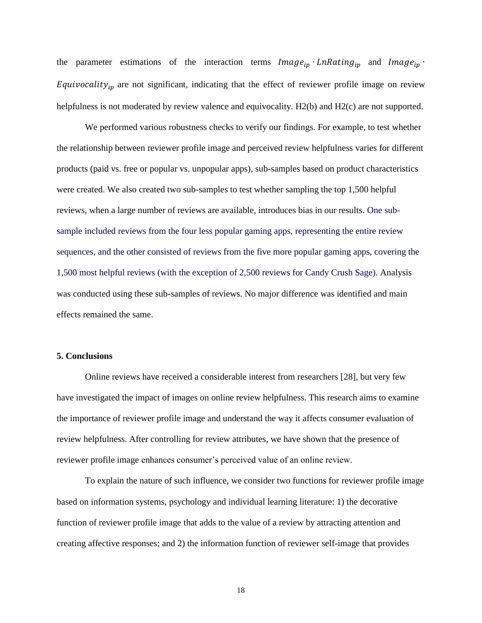the parameter estimations of the interaction terms  $Image_{ip} \cdot LnRating_{ip}$  and  $Image_{ip} \cdot$ Equivocality<sub>ip</sub> are not significant, indicating that the effect of reviewer profile image on review helpfulness is not moderated by review valence and equivocality. H2(b) and H2(c) are not supported.

We performed various robustness checks to verify our findings. For example, to test whether the relationship between reviewer profile image and perceived review helpfulness varies for different products (paid vs. free or popular vs. unpopular apps), sub-samples based on product characteristics were created. We also created two sub-samples to test whether sampling the top 1,500 helpful reviews, when a large number of reviews are available, introduces bias in our results. One subsample included reviews from the four less popular gaming apps, representing the entire review sequences, and the other consisted of reviews from the five more popular gaming apps, covering the 1,500 most helpful reviews (with the exception of 2,500 reviews for Candy Crush Sage). Analysis was conducted using these sub-samples of reviews. No major difference was identified and main effects remained the same.

# **5. Conclusions**

Online reviews have received a considerable interest from researchers [28], but very few have investigated the impact of images on online review helpfulness. This research aims to examine the importance of reviewer profile image and understand the way it affects consumer evaluation of review helpfulness. After controlling for review attributes, we have shown that the presence of reviewer profile image enhances consumer's perceived value of an online review.

To explain the nature of such influence, we consider two functions for reviewer profile image based on information systems, psychology and individual learning literature: 1) the decorative function of reviewer profile image that adds to the value of a review by attracting attention and creating affective responses; and 2) the information function of reviewer self-image that provides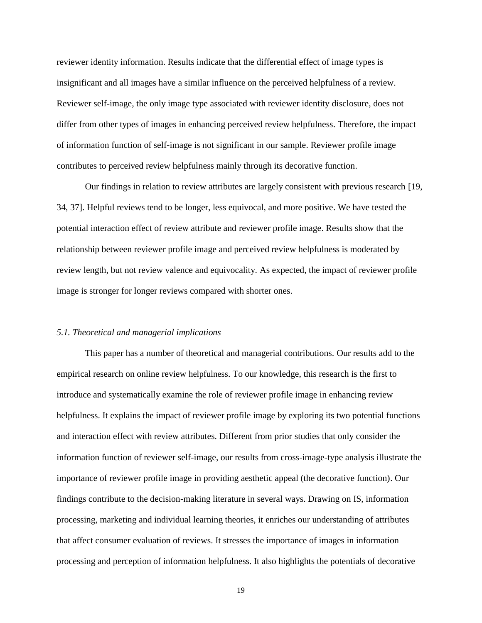reviewer identity information. Results indicate that the differential effect of image types is insignificant and all images have a similar influence on the perceived helpfulness of a review. Reviewer self-image, the only image type associated with reviewer identity disclosure, does not differ from other types of images in enhancing perceived review helpfulness. Therefore, the impact of information function of self-image is not significant in our sample. Reviewer profile image contributes to perceived review helpfulness mainly through its decorative function.

Our findings in relation to review attributes are largely consistent with previous research [19, 34, 37]. Helpful reviews tend to be longer, less equivocal, and more positive. We have tested the potential interaction effect of review attribute and reviewer profile image. Results show that the relationship between reviewer profile image and perceived review helpfulness is moderated by review length, but not review valence and equivocality. As expected, the impact of reviewer profile image is stronger for longer reviews compared with shorter ones.

#### *5.1. Theoretical and managerial implications*

This paper has a number of theoretical and managerial contributions. Our results add to the empirical research on online review helpfulness. To our knowledge, this research is the first to introduce and systematically examine the role of reviewer profile image in enhancing review helpfulness. It explains the impact of reviewer profile image by exploring its two potential functions and interaction effect with review attributes. Different from prior studies that only consider the information function of reviewer self-image, our results from cross-image-type analysis illustrate the importance of reviewer profile image in providing aesthetic appeal (the decorative function). Our findings contribute to the decision-making literature in several ways. Drawing on IS, information processing, marketing and individual learning theories, it enriches our understanding of attributes that affect consumer evaluation of reviews. It stresses the importance of images in information processing and perception of information helpfulness. It also highlights the potentials of decorative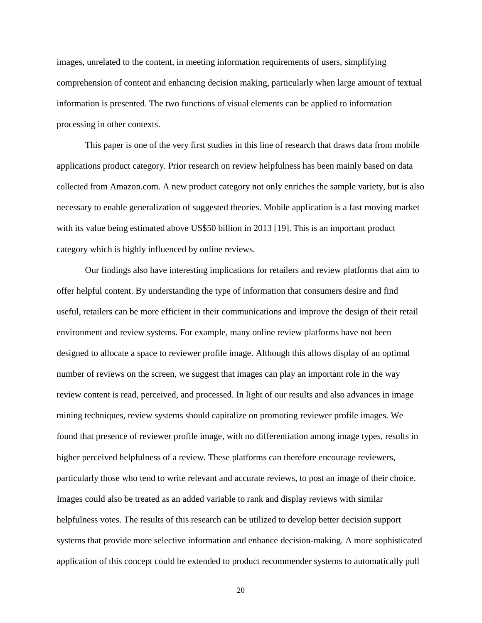images, unrelated to the content, in meeting information requirements of users, simplifying comprehension of content and enhancing decision making, particularly when large amount of textual information is presented. The two functions of visual elements can be applied to information processing in other contexts.

This paper is one of the very first studies in this line of research that draws data from mobile applications product category. Prior research on review helpfulness has been mainly based on data collected from Amazon.com. A new product category not only enriches the sample variety, but is also necessary to enable generalization of suggested theories. Mobile application is a fast moving market with its value being estimated above US\$50 billion in 2013 [19]. This is an important product category which is highly influenced by online reviews.

Our findings also have interesting implications for retailers and review platforms that aim to offer helpful content. By understanding the type of information that consumers desire and find useful, retailers can be more efficient in their communications and improve the design of their retail environment and review systems. For example, many online review platforms have not been designed to allocate a space to reviewer profile image. Although this allows display of an optimal number of reviews on the screen, we suggest that images can play an important role in the way review content is read, perceived, and processed. In light of our results and also advances in image mining techniques, review systems should capitalize on promoting reviewer profile images. We found that presence of reviewer profile image, with no differentiation among image types, results in higher perceived helpfulness of a review. These platforms can therefore encourage reviewers, particularly those who tend to write relevant and accurate reviews, to post an image of their choice. Images could also be treated as an added variable to rank and display reviews with similar helpfulness votes. The results of this research can be utilized to develop better decision support systems that provide more selective information and enhance decision-making. A more sophisticated application of this concept could be extended to product recommender systems to automatically pull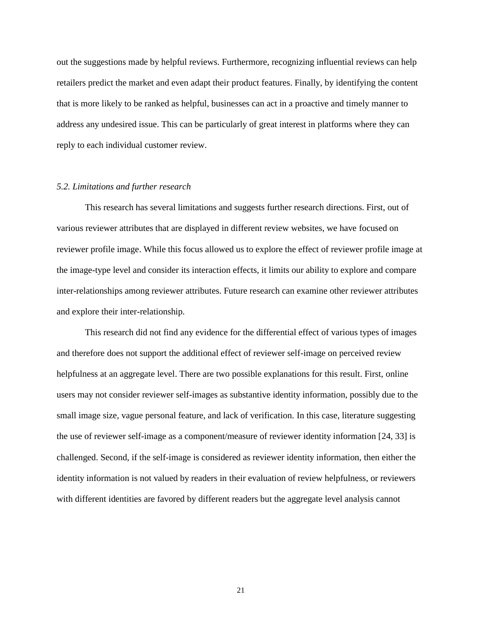out the suggestions made by helpful reviews. Furthermore, recognizing influential reviews can help retailers predict the market and even adapt their product features. Finally, by identifying the content that is more likely to be ranked as helpful, businesses can act in a proactive and timely manner to address any undesired issue. This can be particularly of great interest in platforms where they can reply to each individual customer review.

#### *5.2. Limitations and further research*

This research has several limitations and suggests further research directions. First, out of various reviewer attributes that are displayed in different review websites, we have focused on reviewer profile image. While this focus allowed us to explore the effect of reviewer profile image at the image-type level and consider its interaction effects, it limits our ability to explore and compare inter-relationships among reviewer attributes. Future research can examine other reviewer attributes and explore their inter-relationship.

This research did not find any evidence for the differential effect of various types of images and therefore does not support the additional effect of reviewer self-image on perceived review helpfulness at an aggregate level. There are two possible explanations for this result. First, online users may not consider reviewer self-images as substantive identity information, possibly due to the small image size, vague personal feature, and lack of verification. In this case, literature suggesting the use of reviewer self-image as a component/measure of reviewer identity information [24, 33] is challenged. Second, if the self-image is considered as reviewer identity information, then either the identity information is not valued by readers in their evaluation of review helpfulness, or reviewers with different identities are favored by different readers but the aggregate level analysis cannot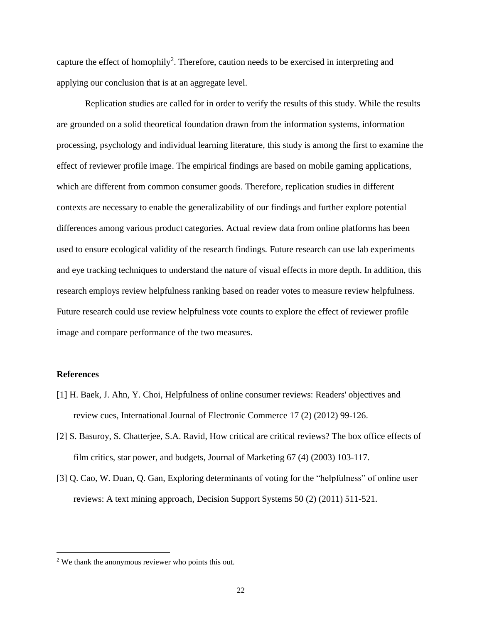capture the effect of homophily<sup>2</sup>. Therefore, caution needs to be exercised in interpreting and applying our conclusion that is at an aggregate level.

Replication studies are called for in order to verify the results of this study. While the results are grounded on a solid theoretical foundation drawn from the information systems, information processing, psychology and individual learning literature, this study is among the first to examine the effect of reviewer profile image. The empirical findings are based on mobile gaming applications, which are different from common consumer goods. Therefore, replication studies in different contexts are necessary to enable the generalizability of our findings and further explore potential differences among various product categories. Actual review data from online platforms has been used to ensure ecological validity of the research findings. Future research can use lab experiments and eye tracking techniques to understand the nature of visual effects in more depth. In addition, this research employs review helpfulness ranking based on reader votes to measure review helpfulness. Future research could use review helpfulness vote counts to explore the effect of reviewer profile image and compare performance of the two measures.

#### **References**

 $\overline{a}$ 

- [1] H. Baek, J. Ahn, Y. Choi, Helpfulness of online consumer reviews: Readers' objectives and review cues, International Journal of Electronic Commerce 17 (2) (2012) 99-126.
- [2] S. Basuroy, S. Chatterjee, S.A. Ravid, How critical are critical reviews? The box office effects of film critics, star power, and budgets, Journal of Marketing 67 (4) (2003) 103-117.
- [3] Q. Cao, W. Duan, Q. Gan, Exploring determinants of voting for the "helpfulness" of online user reviews: A text mining approach, Decision Support Systems 50 (2) (2011) 511-521.

<sup>2</sup> We thank the anonymous reviewer who points this out.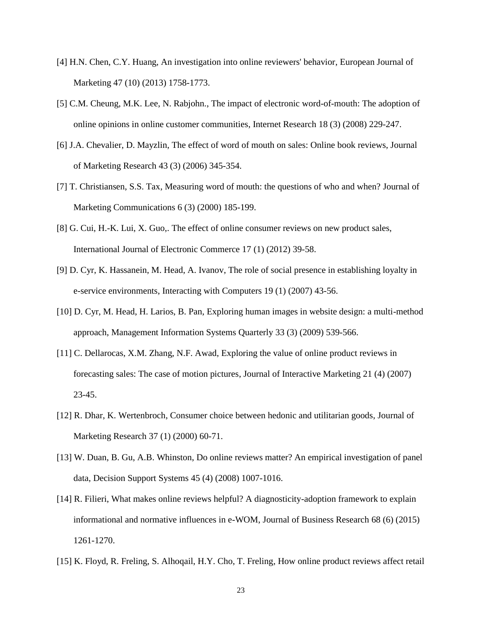- [4] H.N. Chen, C.Y. Huang, An investigation into online reviewers' behavior, European Journal of Marketing 47 (10) (2013) 1758-1773.
- [5] C.M. Cheung, M.K. Lee, N. Rabjohn., The impact of electronic word-of-mouth: The adoption of online opinions in online customer communities, Internet Research 18 (3) (2008) 229-247.
- [6] J.A. Chevalier, D. Mayzlin, The effect of word of mouth on sales: Online book reviews, Journal of Marketing Research 43 (3) (2006) 345-354.
- [7] T. Christiansen, S.S. Tax, Measuring word of mouth: the questions of who and when? Journal of Marketing Communications 6 (3) (2000) 185-199.
- [8] G. Cui, H.-K. Lui, X. Guo,. The effect of online consumer reviews on new product sales, International Journal of Electronic Commerce 17 (1) (2012) 39-58.
- [9] D. Cyr, K. Hassanein, M. Head, A. Ivanov, The role of social presence in establishing loyalty in e-service environments, Interacting with Computers 19 (1) (2007) 43-56.
- [10] D. Cyr, M. Head, H. Larios, B. Pan, Exploring human images in website design: a multi-method approach, Management Information Systems Quarterly 33 (3) (2009) 539-566.
- [11] C. Dellarocas, X.M. Zhang, N.F. Awad, Exploring the value of online product reviews in forecasting sales: The case of motion pictures, Journal of Interactive Marketing 21 (4) (2007) 23-45.
- [12] R. Dhar, K. Wertenbroch, Consumer choice between hedonic and utilitarian goods, Journal of Marketing Research 37 (1) (2000) 60-71.
- [13] W. Duan, B. Gu, A.B. Whinston, Do online reviews matter? An empirical investigation of panel data, Decision Support Systems 45 (4) (2008) 1007-1016.
- [14] R. Filieri, What makes online reviews helpful? A diagnosticity-adoption framework to explain informational and normative influences in e-WOM, Journal of Business Research 68 (6) (2015) 1261-1270.
- [15] K. Floyd, R. Freling, S. Alhoqail, H.Y. Cho, T. Freling, How online product reviews affect retail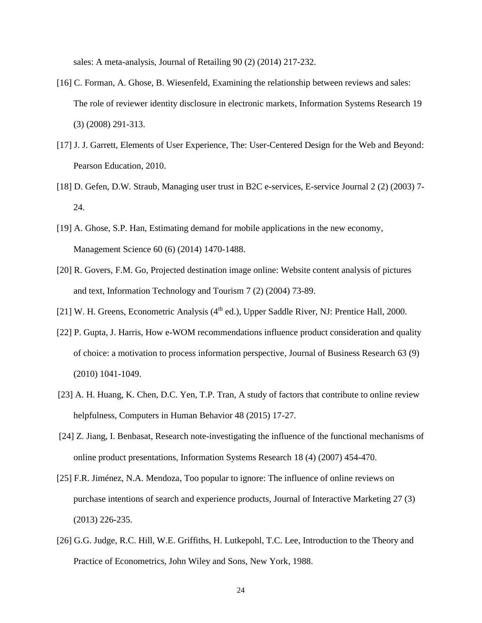sales: A meta-analysis, Journal of Retailing 90 (2) (2014) 217-232.

- [16] C. Forman, A. Ghose, B. Wiesenfeld, Examining the relationship between reviews and sales: The role of reviewer identity disclosure in electronic markets, Information Systems Research 19 (3) (2008) 291-313.
- [17] J. J. Garrett, Elements of User Experience, The: User-Centered Design for the Web and Beyond: Pearson Education, 2010.
- [18] D. Gefen, D.W. Straub, Managing user trust in B2C e-services, E-service Journal 2 (2) (2003) 7- 24.
- [19] A. Ghose, S.P. Han, Estimating demand for mobile applications in the new economy, Management Science 60 (6) (2014) 1470-1488.
- [20] R. Govers, F.M. Go, Projected destination image online: Website content analysis of pictures and text, Information Technology and Tourism 7 (2) (2004) 73-89.
- [21] W. H. Greens, Econometric Analysis (4<sup>th</sup> ed.), Upper Saddle River, NJ: Prentice Hall, 2000.
- [22] P. Gupta, J. Harris, How e-WOM recommendations influence product consideration and quality of choice: a motivation to process information perspective, Journal of Business Research 63 (9) (2010) 1041-1049.
- [23] A. H. Huang, K. Chen, D.C. Yen, T.P. Tran, A study of factors that contribute to online review helpfulness, Computers in Human Behavior 48 (2015) 17-27.
- [24] Z. Jiang, I. Benbasat, Research note-investigating the influence of the functional mechanisms of online product presentations, Information Systems Research 18 (4) (2007) 454-470.
- [25] F.R. Jiménez, N.A. Mendoza, Too popular to ignore: The influence of online reviews on purchase intentions of search and experience products, Journal of Interactive Marketing 27 (3) (2013) 226-235.
- [26] G.G. Judge, R.C. Hill, W.E. Griffiths, H. Lutkepohl, T.C. Lee, Introduction to the Theory and Practice of Econometrics, John Wiley and Sons, New York, 1988.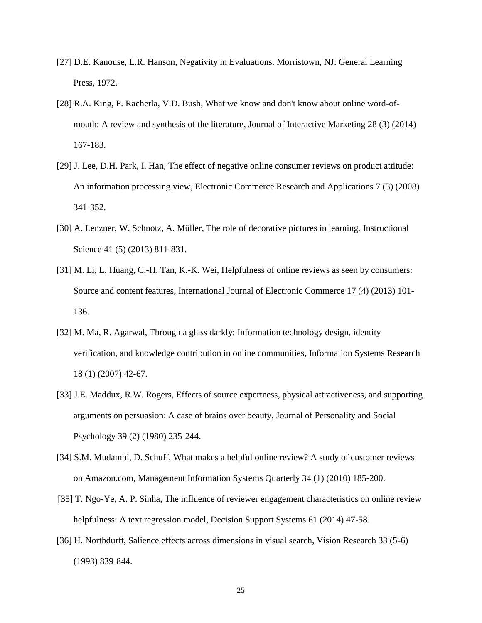- [27] D.E. Kanouse, L.R. Hanson, Negativity in Evaluations. Morristown, NJ: General Learning Press, 1972.
- [28] R.A. King, P. Racherla, V.D. Bush, What we know and don't know about online word-ofmouth: A review and synthesis of the literature, Journal of Interactive Marketing 28 (3) (2014) 167-183.
- [29] J. Lee, D.H. Park, I. Han, The effect of negative online consumer reviews on product attitude: An information processing view, Electronic Commerce Research and Applications 7 (3) (2008) 341-352.
- [30] A. Lenzner, W. Schnotz, A. Müller, The role of decorative pictures in learning. Instructional Science 41 (5) (2013) 811-831.
- [31] M. Li, L. Huang, C.-H. Tan, K.-K. Wei, Helpfulness of online reviews as seen by consumers: Source and content features, International Journal of Electronic Commerce 17 (4) (2013) 101- 136.
- [32] M. Ma, R. Agarwal, Through a glass darkly: Information technology design, identity verification, and knowledge contribution in online communities, Information Systems Research 18 (1) (2007) 42-67.
- [33] J.E. Maddux, R.W. Rogers, Effects of source expertness, physical attractiveness, and supporting arguments on persuasion: A case of brains over beauty, Journal of Personality and Social Psychology 39 (2) (1980) 235-244.
- [34] S.M. Mudambi, D. Schuff, What makes a helpful online review? A study of customer reviews on Amazon.com, Management Information Systems Quarterly 34 (1) (2010) 185-200.
- [35] T. Ngo-Ye, A. P. Sinha, The influence of reviewer engagement characteristics on online review helpfulness: A text regression model, Decision Support Systems 61 (2014) 47-58.
- [36] H. Northdurft, Salience effects across dimensions in visual search, Vision Research 33 (5-6) (1993) 839-844.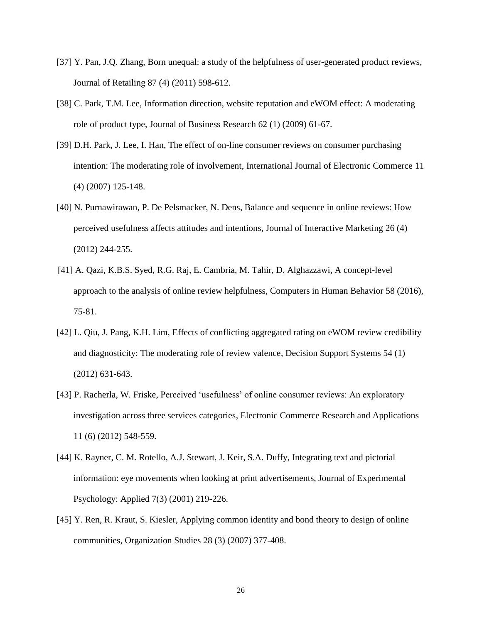- [37] Y. Pan, J.Q. Zhang, Born unequal: a study of the helpfulness of user-generated product reviews, Journal of Retailing 87 (4) (2011) 598-612.
- [38] C. Park, T.M. Lee, Information direction, website reputation and eWOM effect: A moderating role of product type, Journal of Business Research 62 (1) (2009) 61-67.
- [39] D.H. Park, J. Lee, I. Han, The effect of on-line consumer reviews on consumer purchasing intention: The moderating role of involvement, International Journal of Electronic Commerce 11 (4) (2007) 125-148.
- [40] N. Purnawirawan, P. De Pelsmacker, N. Dens, Balance and sequence in online reviews: How perceived usefulness affects attitudes and intentions, Journal of Interactive Marketing 26 (4) (2012) 244-255.
- [41] A. Qazi, K.B.S. Syed, R.G. Raj, E. Cambria, M. Tahir, D. Alghazzawi, A concept-level approach to the analysis of online review helpfulness, Computers in Human Behavior 58 (2016), 75-81.
- [42] L. Qiu, J. Pang, K.H. Lim, Effects of conflicting aggregated rating on eWOM review credibility and diagnosticity: The moderating role of review valence, Decision Support Systems 54 (1) (2012) 631-643.
- [43] P. Racherla, W. Friske, Perceived 'usefulness' of online consumer reviews: An exploratory investigation across three services categories, Electronic Commerce Research and Applications 11 (6) (2012) 548-559.
- [44] K. Rayner, C. M. Rotello, A.J. Stewart, J. Keir, S.A. Duffy, Integrating text and pictorial information: eye movements when looking at print advertisements, Journal of Experimental Psychology: Applied 7(3) (2001) 219-226.
- [45] Y. Ren, R. Kraut, S. Kiesler, Applying common identity and bond theory to design of online communities, Organization Studies 28 (3) (2007) 377-408.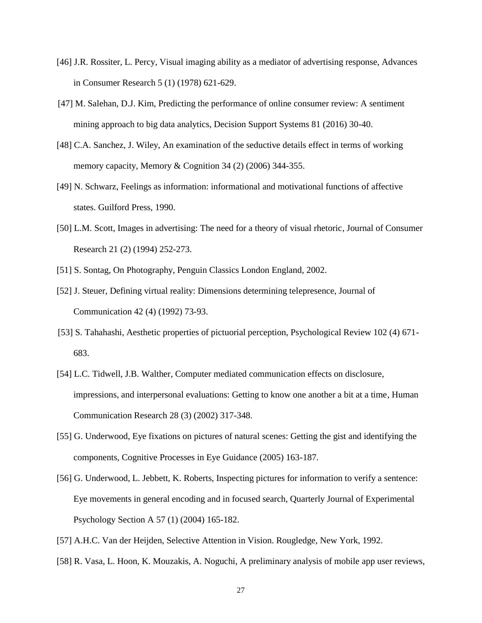- [46] J.R. Rossiter, L. Percy, Visual imaging ability as a mediator of advertising response, Advances in Consumer Research 5 (1) (1978) 621-629.
- [47] M. Salehan, D.J. Kim, Predicting the performance of online consumer review: A sentiment mining approach to big data analytics, Decision Support Systems 81 (2016) 30-40.
- [48] C.A. Sanchez, J. Wiley, An examination of the seductive details effect in terms of working memory capacity, Memory & Cognition 34 (2) (2006) 344-355.
- [49] N. Schwarz, Feelings as information: informational and motivational functions of affective states. Guilford Press, 1990.
- [50] L.M. Scott, Images in advertising: The need for a theory of visual rhetoric, Journal of Consumer Research 21 (2) (1994) 252-273.
- [51] S. Sontag, On Photography, Penguin Classics London England, 2002.
- [52] J. Steuer, Defining virtual reality: Dimensions determining telepresence, Journal of Communication 42 (4) (1992) 73-93.
- [53] S. Tahahashi, Aesthetic properties of pictuorial perception, Psychological Review 102 (4) 671- 683.
- [54] L.C. Tidwell, J.B. Walther, Computer mediated communication effects on disclosure, impressions, and interpersonal evaluations: Getting to know one another a bit at a time, Human Communication Research 28 (3) (2002) 317-348.
- [55] G. Underwood, Eye fixations on pictures of natural scenes: Getting the gist and identifying the components, Cognitive Processes in Eye Guidance (2005) 163-187.
- [56] G. Underwood, L. Jebbett, K. Roberts, Inspecting pictures for information to verify a sentence: Eye movements in general encoding and in focused search, Quarterly Journal of Experimental Psychology Section A 57 (1) (2004) 165-182.
- [57] A.H.C. Van der Heijden, Selective Attention in Vision. Rougledge, New York, 1992.
- [58] R. Vasa, L. Hoon, K. Mouzakis, A. Noguchi, A preliminary analysis of mobile app user reviews,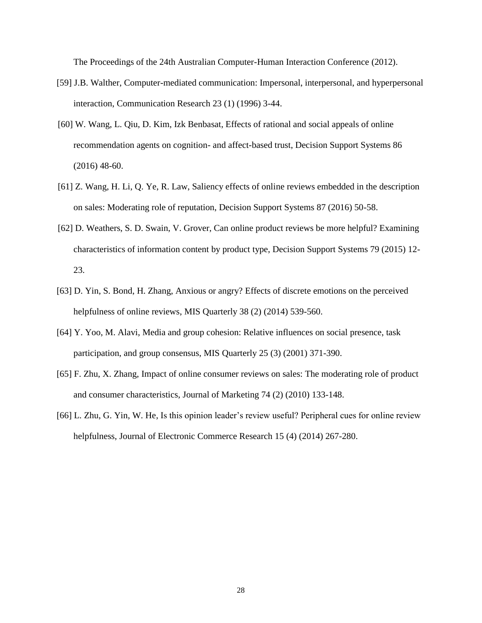The Proceedings of the 24th Australian Computer-Human Interaction Conference (2012).

- [59] J.B. Walther, Computer-mediated communication: Impersonal, interpersonal, and hyperpersonal interaction, Communication Research 23 (1) (1996) 3-44.
- [60] W. Wang, L. Qiu, D. Kim, Izk Benbasat, Effects of rational and social appeals of online recommendation agents on cognition- and affect-based trust, Decision Support Systems 86 (2016) 48-60.
- [61] Z. Wang, H. Li, Q. Ye, R. Law, Saliency effects of online reviews embedded in the description on sales: Moderating role of reputation, Decision Support Systems 87 (2016) 50-58.
- [62] D. Weathers, S. D. Swain, V. Grover, Can online product reviews be more helpful? Examining characteristics of information content by product type, Decision Support Systems 79 (2015) 12- 23.
- [63] D. Yin, S. Bond, H. Zhang, Anxious or angry? Effects of discrete emotions on the perceived helpfulness of online reviews, MIS Quarterly 38 (2) (2014) 539-560.
- [64] Y. Yoo, M. Alavi, Media and group cohesion: Relative influences on social presence, task participation, and group consensus, MIS Quarterly 25 (3) (2001) 371-390.
- [65] F. Zhu, X. Zhang, Impact of online consumer reviews on sales: The moderating role of product and consumer characteristics, Journal of Marketing 74 (2) (2010) 133-148.
- [66] L. Zhu, G. Yin, W. He, Is this opinion leader's review useful? Peripheral cues for online review helpfulness, Journal of Electronic Commerce Research 15 (4) (2014) 267-280.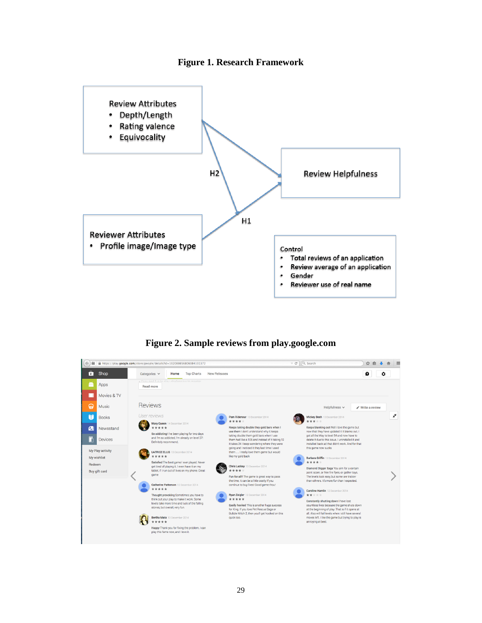



**Figure 2. Sample reviews from play.google.com**

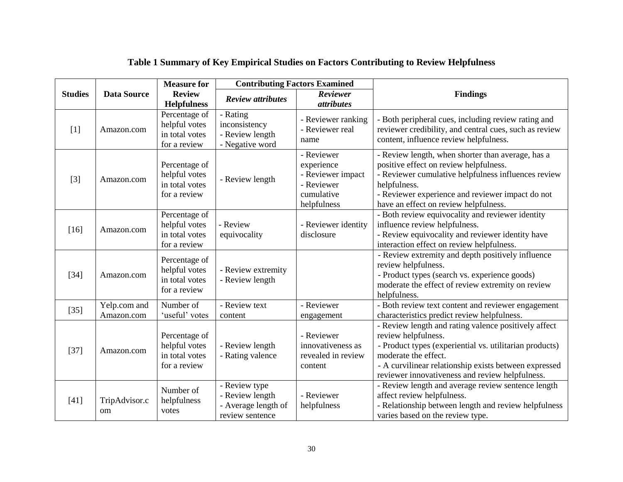|                                      |                                | <b>Measure for</b>                                               | <b>Contributing Factors Examined</b>                                       |                                                                                          |                                                                                                                                                                                                                                                                            |  |  |  |
|--------------------------------------|--------------------------------|------------------------------------------------------------------|----------------------------------------------------------------------------|------------------------------------------------------------------------------------------|----------------------------------------------------------------------------------------------------------------------------------------------------------------------------------------------------------------------------------------------------------------------------|--|--|--|
| <b>Data Source</b><br><b>Studies</b> |                                | <b>Review</b><br><b>Helpfulness</b>                              | <b>Review attributes</b>                                                   | Reviewer<br><i>attributes</i>                                                            | <b>Findings</b>                                                                                                                                                                                                                                                            |  |  |  |
| $[1]$                                | Amazon.com                     | Percentage of<br>helpful votes<br>in total votes<br>for a review | - Rating<br>inconsistency<br>- Review length<br>- Negative word            | - Reviewer ranking<br>- Reviewer real<br>name                                            | - Both peripheral cues, including review rating and<br>reviewer credibility, and central cues, such as review<br>content, influence review helpfulness.                                                                                                                    |  |  |  |
| $[3]$                                | Amazon.com                     | Percentage of<br>helpful votes<br>in total votes<br>for a review | - Review length                                                            | - Reviewer<br>experience<br>- Reviewer impact<br>- Reviewer<br>cumulative<br>helpfulness | - Review length, when shorter than average, has a<br>positive effect on review helpfulness.<br>- Reviewer cumulative helpfulness influences review<br>helpfulness.<br>- Reviewer experience and reviewer impact do not<br>have an effect on review helpfulness.            |  |  |  |
| $[16]$                               | Amazon.com                     | Percentage of<br>helpful votes<br>in total votes<br>for a review | - Review<br>equivocality                                                   | - Reviewer identity<br>disclosure                                                        | - Both review equivocality and reviewer identity<br>influence review helpfulness.<br>- Review equivocality and reviewer identity have<br>interaction effect on review helpfulness.                                                                                         |  |  |  |
| $[34]$                               | Amazon.com                     | Percentage of<br>helpful votes<br>in total votes<br>for a review | - Review extremity<br>- Review length                                      |                                                                                          | - Review extremity and depth positively influence<br>review helpfulness.<br>- Product types (search vs. experience goods)<br>moderate the effect of review extremity on review<br>helpfulness.                                                                             |  |  |  |
| $[35]$                               | Yelp.com and<br>Amazon.com     | Number of<br>'useful' votes                                      | - Review text<br>content                                                   | - Reviewer<br>engagement                                                                 | - Both review text content and reviewer engagement<br>characteristics predict review helpfulness.                                                                                                                                                                          |  |  |  |
| $[37]$                               | Amazon.com                     | Percentage of<br>helpful votes<br>in total votes<br>for a review | - Review length<br>- Rating valence                                        | - Reviewer<br>innovativeness as<br>revealed in review<br>content                         | - Review length and rating valence positively affect<br>review helpfulness.<br>- Product types (experiential vs. utilitarian products)<br>moderate the effect.<br>- A curvilinear relationship exists between expressed<br>reviewer innovativeness and review helpfulness. |  |  |  |
| $[41]$                               | TripAdvisor.c<br><sub>om</sub> | Number of<br>helpfulness<br>votes                                | - Review type<br>- Review length<br>- Average length of<br>review sentence | - Reviewer<br>helpfulness                                                                | - Review length and average review sentence length<br>affect review helpfulness.<br>- Relationship between length and review helpfulness<br>varies based on the review type.                                                                                               |  |  |  |

# **Table 1 Summary of Key Empirical Studies on Factors Contributing to Review Helpfulness**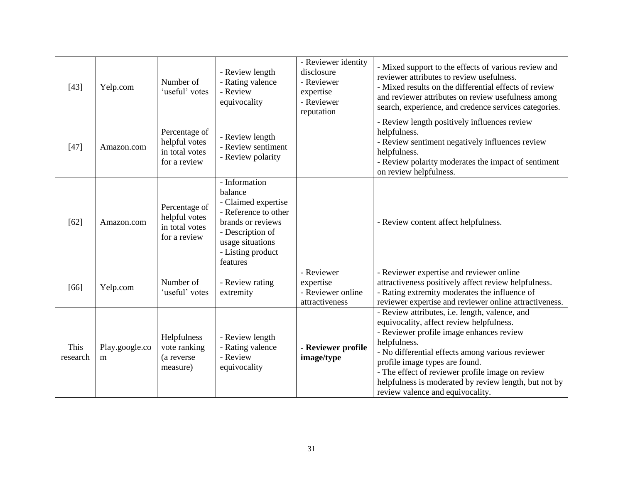| $[43]$           | Yelp.com            | Number of<br>'useful' votes                                      | - Review length<br>- Rating valence<br>- Review<br>equivocality                                                                                                       | - Reviewer identity<br>disclosure<br>- Reviewer<br>expertise<br>- Reviewer<br>reputation | - Mixed support to the effects of various review and<br>reviewer attributes to review usefulness.<br>- Mixed results on the differential effects of review<br>and reviewer attributes on review usefulness among<br>search, experience, and credence services categories.                                                                                                                     |
|------------------|---------------------|------------------------------------------------------------------|-----------------------------------------------------------------------------------------------------------------------------------------------------------------------|------------------------------------------------------------------------------------------|-----------------------------------------------------------------------------------------------------------------------------------------------------------------------------------------------------------------------------------------------------------------------------------------------------------------------------------------------------------------------------------------------|
| $[47]$           | Amazon.com          | Percentage of<br>helpful votes<br>in total votes<br>for a review | - Review length<br>- Review sentiment<br>- Review polarity                                                                                                            |                                                                                          | - Review length positively influences review<br>helpfulness.<br>- Review sentiment negatively influences review<br>helpfulness.<br>- Review polarity moderates the impact of sentiment<br>on review helpfulness.                                                                                                                                                                              |
| $[62]$           | Amazon.com          | Percentage of<br>helpful votes<br>in total votes<br>for a review | - Information<br>balance<br>- Claimed expertise<br>- Reference to other<br>brands or reviews<br>- Description of<br>usage situations<br>- Listing product<br>features |                                                                                          | - Review content affect helpfulness.                                                                                                                                                                                                                                                                                                                                                          |
| [66]             | Yelp.com            | Number of<br>'useful' votes                                      | - Review rating<br>extremity                                                                                                                                          | - Reviewer<br>expertise<br>- Reviewer online<br>attractiveness                           | - Reviewer expertise and reviewer online<br>attractiveness positively affect review helpfulness.<br>- Rating extremity moderates the influence of<br>reviewer expertise and reviewer online attractiveness.                                                                                                                                                                                   |
| This<br>research | Play.google.co<br>m | Helpfulness<br>vote ranking<br>(a reverse<br>measure)            | - Review length<br>- Rating valence<br>- Review<br>equivocality                                                                                                       | - Reviewer profile<br>image/type                                                         | - Review attributes, i.e. length, valence, and<br>equivocality, affect review helpfulness.<br>- Reviewer profile image enhances review<br>helpfulness.<br>- No differential effects among various reviewer<br>profile image types are found.<br>- The effect of reviewer profile image on review<br>helpfulness is moderated by review length, but not by<br>review valence and equivocality. |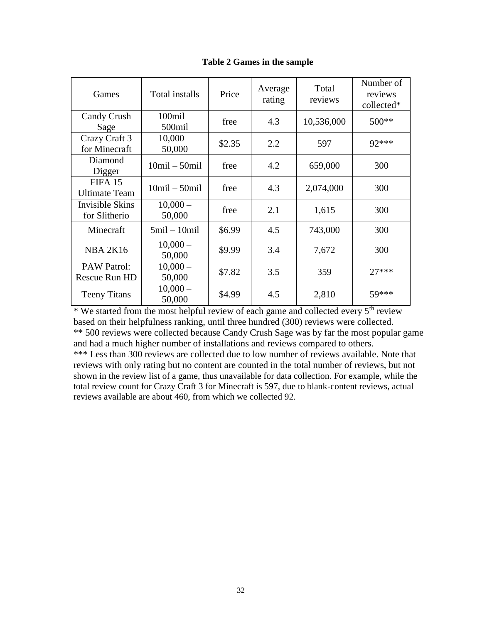| Games                               | Total installs          | Price  | Average<br>rating | Total<br>reviews | Number of<br>reviews<br>collected* |
|-------------------------------------|-------------------------|--------|-------------------|------------------|------------------------------------|
| Candy Crush<br>Sage                 | $100$ mil $-$<br>500mil | free   | 4.3               | 10,536,000       | $500**$                            |
| Crazy Craft 3<br>for Minecraft      | $10,000 -$<br>50,000    | \$2.35 | 2.2               | 597              | 92***                              |
| Diamond<br>Digger                   | $10$ mil $-50$ mil      | free   | 4.2               | 659,000          | 300                                |
| FIFA 15<br><b>Ultimate Team</b>     | $10$ mil $-50$ mil      | free   | 4.3               | 2,074,000        | 300                                |
| Invisible Skins<br>for Slitherio    | $10,000 -$<br>50,000    | free   | 2.1               | 1,615            | 300                                |
| Minecraft                           | $5$ mil $-10$ mil       | \$6.99 | 4.5               | 743,000          | 300                                |
| <b>NBA 2K16</b>                     | $10,000-$<br>50,000     | \$9.99 | 3.4               | 7,672            | 300                                |
| <b>PAW Patrol:</b><br>Rescue Run HD | $10,000 -$<br>50,000    | \$7.82 | 3.5               | 359              | $27***$                            |
| <b>Teeny Titans</b>                 | $10,000 -$<br>50,000    | \$4.99 | 4.5               | 2,810            | 59***                              |

**Table 2 Games in the sample**

\* We started from the most helpful review of each game and collected every 5<sup>th</sup> review based on their helpfulness ranking, until three hundred (300) reviews were collected. \*\* 500 reviews were collected because Candy Crush Sage was by far the most popular game and had a much higher number of installations and reviews compared to others.

\*\*\* Less than 300 reviews are collected due to low number of reviews available. Note that reviews with only rating but no content are counted in the total number of reviews, but not shown in the review list of a game, thus unavailable for data collection. For example, while the total review count for Crazy Craft 3 for Minecraft is 597, due to blank-content reviews, actual reviews available are about 460, from which we collected 92.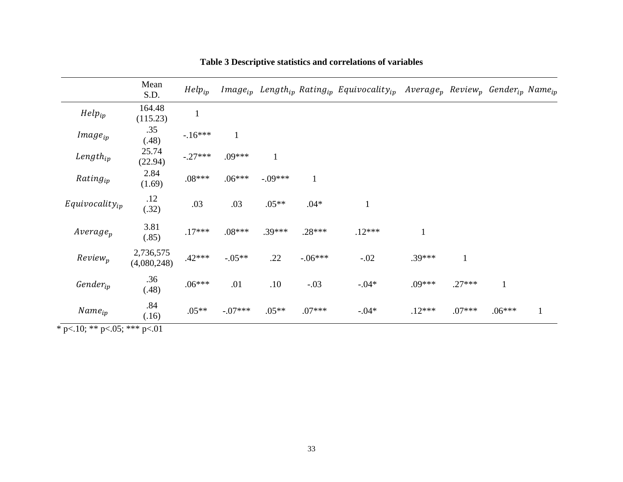|                                          | Mean<br>S.D.             | $Help_{ip}$  |              |              |              | $Image_{ip}$ Length <sub>ip</sub> Rating <sub>ip</sub> Equivocality <sub>ip</sub> Average <sub>p</sub> Review <sub>p</sub> Gender <sub>ip</sub> Name <sub>ip</sub> |              |              |              |              |
|------------------------------------------|--------------------------|--------------|--------------|--------------|--------------|--------------------------------------------------------------------------------------------------------------------------------------------------------------------|--------------|--------------|--------------|--------------|
| $Help_{ip}$                              | 164.48<br>(115.23)       | $\mathbf{1}$ |              |              |              |                                                                                                                                                                    |              |              |              |              |
| $Image_{ip}$                             | .35<br>(.48)             | $-16***$     | $\mathbf{1}$ |              |              |                                                                                                                                                                    |              |              |              |              |
| $Length_{ip}$                            | 25.74<br>(22.94)         | $-.27***$    | $.09***$     | $\mathbf{1}$ |              |                                                                                                                                                                    |              |              |              |              |
| $Rating_{ip}$                            | 2.84<br>(1.69)           | $.08***$     | $.06***$     | $-.09***$    | $\mathbf{1}$ |                                                                                                                                                                    |              |              |              |              |
| $Equivocality_{ip}$                      | .12<br>(.32)             | .03          | .03          | $.05**$      | $.04*$       | $\mathbf{1}$                                                                                                                                                       |              |              |              |              |
| $Average_p$                              | 3.81<br>(.85)            | $.17***$     | $.08***$     | $.39***$     | $.28***$     | $.12***$                                                                                                                                                           | $\mathbf{1}$ |              |              |              |
| $Review_p$                               | 2,736,575<br>(4,080,248) | $.42***$     | $-.05**$     | .22          | $-.06***$    | $-.02$                                                                                                                                                             | .39***       | $\mathbf{1}$ |              |              |
| $\mathit{Gender}_{ip}$                   | .36<br>(.48)             | $.06***$     | .01          | .10          | $-.03$       | $-.04*$                                                                                                                                                            | .09***       | $.27***$     | $\mathbf{1}$ |              |
| $Name_{ip}$                              | .84<br>(.16)             | $.05**$      | $-.07***$    | $.05**$      | $.07***$     | $-.04*$                                                                                                                                                            | $.12***$     | $.07***$     | $.06***$     | $\mathbf{1}$ |
| * p $<$ .10; ** p $<$ .05; *** p $<$ .01 |                          |              |              |              |              |                                                                                                                                                                    |              |              |              |              |

**Table 3 Descriptive statistics and correlations of variables**